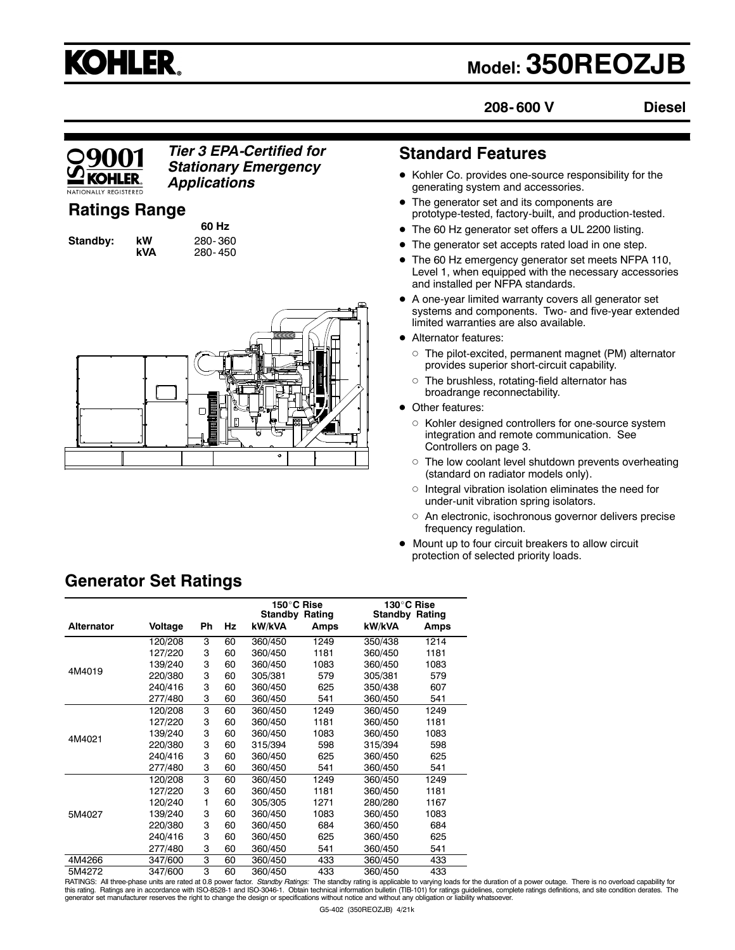

# **Model: 350REOZJB**

**208- 600 V**

**Diesel**

# KOHI FR

#### *Tier 3 EPA-Certified for Stationary Emergency Applications*

# **Ratings Range**

**Standby: kW** 280- 360

**60 Hz kVA** 280- 450



## **Standard Features**

- Kohler Co. provides one-source responsibility for the generating system and accessories.
- The generator set and its components are prototype-tested, factory-built, and production-tested.
- The 60 Hz generator set offers a UL 2200 listing.
- The generator set accepts rated load in one step.
- The 60 Hz emergency generator set meets NFPA 110, Level 1, when equipped with the necessary accessories and installed per NFPA standards.
- $\bullet$  A one-year limited warranty covers all generator set systems and components. Two- and five-year extended limited warranties are also available.
- Alternator features:
	- $\circ$  The pilot-excited, permanent magnet (PM) alternator provides superior short-circuit capability.
	- $\circ$  The brushless, rotating-field alternator has broadrange reconnectability.
- Other features:
	- $\circ$  Kohler designed controllers for one-source system integration and remote communication. See Controllers on page 3.
	- $\circ$  The low coolant level shutdown prevents overheating (standard on radiator models only).
	- $\circ$  Integral vibration isolation eliminates the need for under-unit vibration spring isolators.
	- o An electronic, isochronous governor delivers precise frequency regulation.
- $\bullet$  Mount up to four circuit breakers to allow circuit protection of selected priority loads.

|                   |         |           |    | 150°C Rise<br><b>Standby Rating</b> |      | 130°C Rise<br>Standby<br>Rating |      |
|-------------------|---------|-----------|----|-------------------------------------|------|---------------------------------|------|
| <b>Alternator</b> | Voltage | <b>Ph</b> | Hz | kW/kVA                              | Amps | kW/kVA                          | Amps |
|                   | 120/208 | 3         | 60 | 360/450                             | 1249 | 350/438                         | 1214 |
|                   | 127/220 | 3         | 60 | 360/450                             | 1181 | 360/450                         | 1181 |
|                   | 139/240 | 3         | 60 | 360/450                             | 1083 | 360/450                         | 1083 |
| 4M4019            | 220/380 | 3         | 60 | 305/381                             | 579  | 305/381                         | 579  |
|                   | 240/416 | 3         | 60 | 360/450                             | 625  | 350/438                         | 607  |
|                   | 277/480 | 3         | 60 | 360/450                             | 541  | 360/450                         | 541  |
| 4M4021            | 120/208 | 3         | 60 | 360/450                             | 1249 | 360/450                         | 1249 |
|                   | 127/220 | 3         | 60 | 360/450                             | 1181 | 360/450                         | 1181 |
|                   | 139/240 | 3         | 60 | 360/450                             | 1083 | 360/450                         | 1083 |
|                   | 220/380 | 3         | 60 | 315/394                             | 598  | 315/394                         | 598  |
|                   | 240/416 | 3         | 60 | 360/450                             | 625  | 360/450                         | 625  |
|                   | 277/480 | 3         | 60 | 360/450                             | 541  | 360/450                         | 541  |
|                   | 120/208 | 3         | 60 | 360/450                             | 1249 | 360/450                         | 1249 |
|                   | 127/220 | 3         | 60 | 360/450                             | 1181 | 360/450                         | 1181 |
|                   | 120/240 | 1         | 60 | 305/305                             | 1271 | 280/280                         | 1167 |
| 5M4027            | 139/240 | 3         | 60 | 360/450                             | 1083 | 360/450                         | 1083 |
|                   | 220/380 | 3         | 60 | 360/450                             | 684  | 360/450                         | 684  |
|                   | 240/416 | 3         | 60 | 360/450                             | 625  | 360/450                         | 625  |
|                   | 277/480 | 3         | 60 | 360/450                             | 541  | 360/450                         | 541  |
| 4M4266            | 347/600 | 3         | 60 | 360/450                             | 433  | 360/450                         | 433  |
| 5M4272            | 347/600 | 3         | 60 | 360/450                             | 433  | 360/450                         | 433  |

**Generator Set Ratings**

RATINGS: All three-phase units are rated at 0.8 power factor. *Standby Ratings:* The standby rating is applicable to varying loads for the duration of a power outage. There is no overload capability for<br>this rating. Rating generator set manufacturer reserves the right to change the design or specifications without notice and without any obligation or liability whatsoever.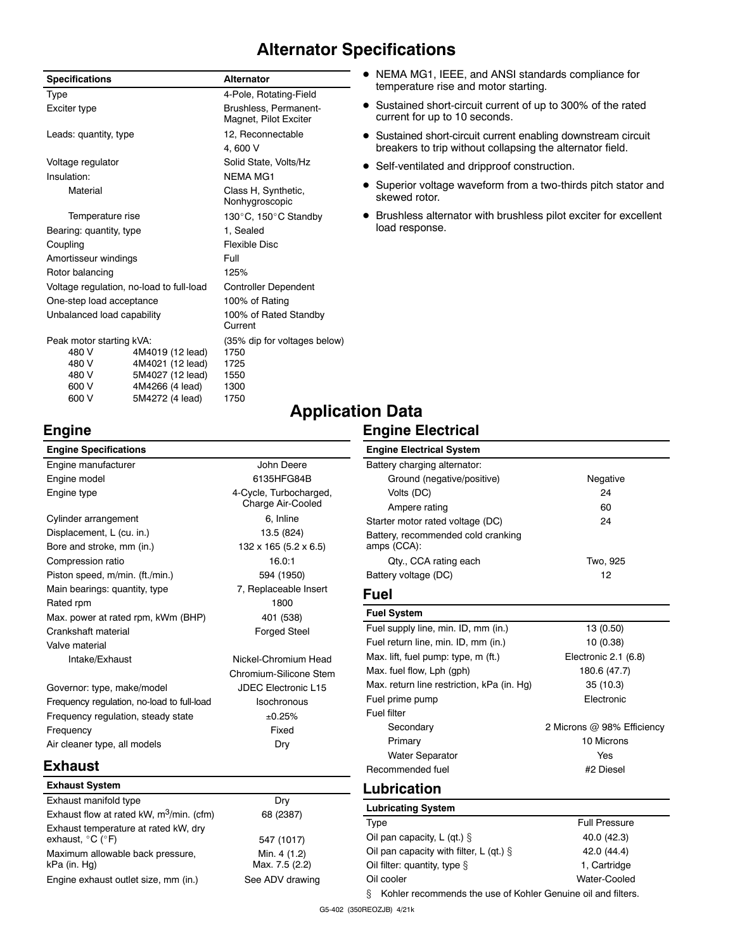# **Alternator Specifications**

| <b>Specifications</b>      |                                          | <b>Alternator</b>                              |  |
|----------------------------|------------------------------------------|------------------------------------------------|--|
| Type                       |                                          | 4-Pole, Rotating-Field                         |  |
| Exciter type               |                                          | Brushless, Permanent-<br>Magnet, Pilot Exciter |  |
| Leads: quantity, type      |                                          | 12, Reconnectable                              |  |
|                            |                                          | 4.600 V                                        |  |
| Voltage regulator          |                                          | Solid State, Volts/Hz                          |  |
| Insulation:                |                                          | NFMA MG1                                       |  |
| Material                   |                                          | Class H, Synthetic,<br>Nonhygroscopic          |  |
| Temperature rise           |                                          | 130°C, 150°C Standby                           |  |
| Bearing: quantity, type    |                                          | 1, Sealed                                      |  |
| Coupling                   |                                          | <b>Flexible Disc</b>                           |  |
| Amortisseur windings       |                                          | Full                                           |  |
| Rotor balancing            |                                          | 125%                                           |  |
|                            | Voltage regulation, no-load to full-load | <b>Controller Dependent</b>                    |  |
| One-step load acceptance   |                                          | 100% of Rating                                 |  |
| Unbalanced load capability |                                          | 100% of Rated Standby<br>Current               |  |
| Peak motor starting kVA:   |                                          | (35% dip for voltages below)                   |  |
| 480 V                      | 4M4019 (12 lead)                         | 1750                                           |  |
| 480 V                      | 4M4021 (12 lead)                         | 1725                                           |  |
| 480 V                      | 5M4027 (12 lead)                         | 1550                                           |  |
| 600 V                      | 4M4266 (4 lead)                          | 1300                                           |  |
| 600 V                      | 5M4272 (4 lead)                          | 1750                                           |  |

- $\bullet$  NEMA MG1, IEEE, and ANSI standards compliance for temperature rise and motor starting.
- Sustained short-circuit current of up to 300% of the rated current for up to 10 seconds.
- Sustained short-circuit current enabling downstream circuit breakers to trip without collapsing the alternator field.
- Self-ventilated and dripproof construction.
- Superior voltage waveform from a two-thirds pitch stator and skewed rotor.
- $\bullet$  Brushless alternator with brushless pilot exciter for excellent load response.

## **Engine**

# **Application Data**

#### **Engine Electrical**

| <b>Engine Specifications</b>                                                  |                                   | <b>Engine Electrical System</b>                                   |                            |
|-------------------------------------------------------------------------------|-----------------------------------|-------------------------------------------------------------------|----------------------------|
| Engine manufacturer                                                           | John Deere                        | Battery charging alternator:                                      |                            |
| Engine model                                                                  | 6135HFG84B                        | Ground (negative/positive)                                        | Negative                   |
| Engine type                                                                   | 4-Cycle, Turbocharged,            | Volts (DC)                                                        | 24                         |
|                                                                               | Charge Air-Cooled                 | Ampere rating                                                     | 60                         |
| Cylinder arrangement                                                          | 6, Inline                         | Starter motor rated voltage (DC)                                  | 24                         |
| Displacement, L (cu. in.)                                                     | 13.5 (824)                        | Battery, recommended cold cranking                                |                            |
| Bore and stroke, mm (in.)                                                     | $132 \times 165 (5.2 \times 6.5)$ | amps (CCA):                                                       |                            |
| Compression ratio                                                             | 16.0:1                            | Qty., CCA rating each                                             | Two, 925                   |
| Piston speed, m/min. (ft./min.)                                               | 594 (1950)                        | Battery voltage (DC)                                              | 12                         |
| Main bearings: quantity, type                                                 | 7, Replaceable Insert             | <b>Fuel</b>                                                       |                            |
| Rated rpm                                                                     | 1800                              | <b>Fuel System</b>                                                |                            |
| Max. power at rated rpm, kWm (BHP)                                            | 401 (538)                         | Fuel supply line, min. ID, mm (in.)                               | 13 (0.50)                  |
| Crankshaft material                                                           | <b>Forged Steel</b>               | Fuel return line, min. ID, mm (in.)                               | 10(0.38)                   |
| Valve material                                                                |                                   | Max. lift, fuel pump: type, m (ft.)                               | Electronic 2.1 (6.8)       |
| Intake/Exhaust                                                                | Nickel-Chromium Head              | Max. fuel flow, Lph (gph)                                         |                            |
|                                                                               | Chromium-Silicone Stem            | Max. return line restriction, kPa (in. Hg)                        | 180.6 (47.7)<br>35(10.3)   |
| Governor: type, make/model                                                    | <b>JDEC Electronic L15</b>        |                                                                   |                            |
| Frequency requlation, no-load to full-load                                    | <b>Isochronous</b>                | Fuel prime pump<br>Fuel filter                                    | Electronic                 |
| Frequency requlation, steady state                                            | ±0.25%                            |                                                                   |                            |
| Frequency                                                                     | Fixed                             | Secondary                                                         | 2 Microns @ 98% Efficiency |
| Air cleaner type, all models                                                  | Dry                               | Primary                                                           | 10 Microns                 |
| <b>Exhaust</b>                                                                |                                   | <b>Water Separator</b>                                            | Yes                        |
|                                                                               |                                   | Recommended fuel                                                  | #2 Diesel                  |
| <b>Exhaust System</b>                                                         |                                   | Lubrication                                                       |                            |
| Exhaust manifold type                                                         | Dry                               | <b>Lubricating System</b>                                         |                            |
| Exhaust flow at rated kW, m <sup>3</sup> /min. (cfm)                          | 68 (2387)                         | Type                                                              | <b>Full Pressure</b>       |
| Exhaust temperature at rated kW, dry<br>exhaust, $^{\circ}$ C ( $^{\circ}$ F) |                                   | Oil pan capacity, $L$ (qt.) $\S$                                  | 40.0 (42.3)                |
|                                                                               | 547 (1017)                        | Oil pan capacity with filter, $L$ (qt.) $\S$                      | 42.0 (44.4)                |
| Maximum allowable back pressure,<br>kPa (in. Hg)                              | Min. 4 (1.2)<br>Max. 7.5 (2.2)    | Oil filter: quantity, type $\S$                                   | 1, Cartridge               |
| Engine exhaust outlet size, mm (in.)                                          | See ADV drawing                   | Oil cooler                                                        | Water-Cooled               |
|                                                                               |                                   | ş<br>Kohler recommends the use of Kohler Genuine oil and filters. |                            |

G5-402 (350REOZJB) 4/21k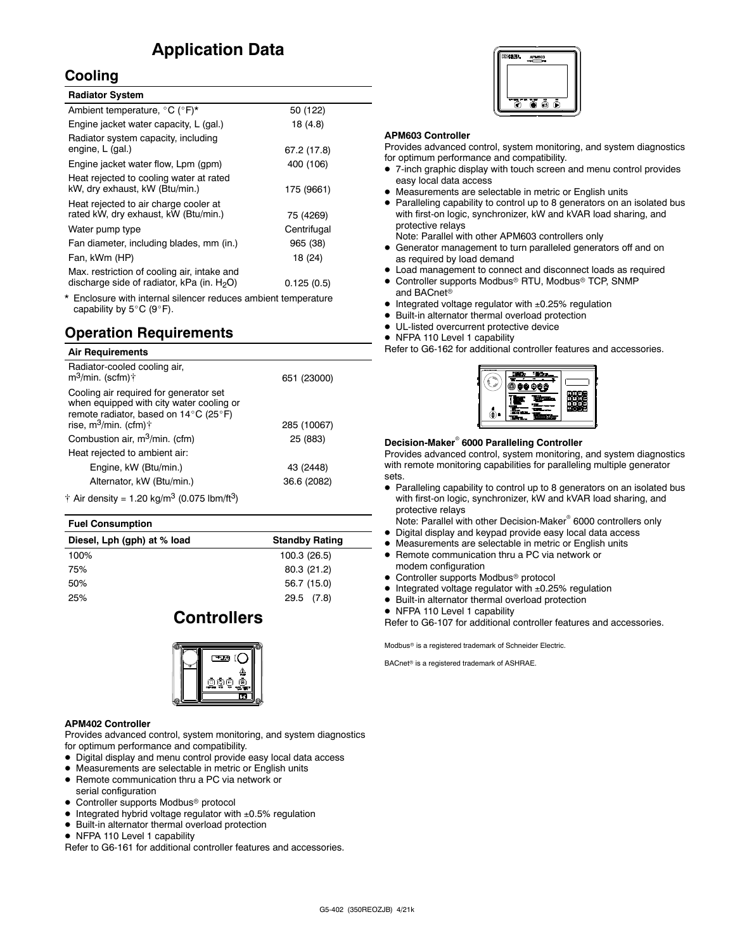# **Application Data**

#### **Cooling**

| <b>Radiator System</b>                                                                       |             |
|----------------------------------------------------------------------------------------------|-------------|
| Ambient temperature, °C (°F)*                                                                | 50 (122)    |
| Engine jacket water capacity, L (gal.)                                                       | 18 (4.8)    |
| Radiator system capacity, including<br>engine, L (gal.)                                      | 67.2 (17.8) |
| Engine jacket water flow, Lpm (gpm)                                                          | 400 (106)   |
| Heat rejected to cooling water at rated<br>kW, dry exhaust, kW (Btu/min.)                    | 175 (9661)  |
| Heat rejected to air charge cooler at<br>rated kW, dry exhaust, kW (Btu/min.)                | 75 (4269)   |
| Water pump type                                                                              | Centrifugal |
| Fan diameter, including blades, mm (in.)                                                     | 965 (38)    |
| Fan, kWm (HP)                                                                                | 18 (24)     |
| Max. restriction of cooling air, intake and<br>discharge side of radiator, kPa (in. $H_2O$ ) | 0.125(0.5)  |

Enclosure with internal silencer reduces ambient temperature capability by  $5^{\circ}$ C (9 $^{\circ}$ F).

#### **Operation Requirements**

#### **Air Requirements**

| Radiator-cooled cooling air,<br>$m^3$ /min. (scfm) $\uparrow$                                                               | 651 (23000) |
|-----------------------------------------------------------------------------------------------------------------------------|-------------|
| Cooling air required for generator set<br>when equipped with city water cooling or<br>remote radiator, based on 14°C (25°F) |             |
| rise, $m^3/m$ in. (cfm) $\dagger$                                                                                           | 285 (10067) |
| Combustion air, m <sup>3</sup> /min. (cfm)                                                                                  | 25 (883)    |
| Heat rejected to ambient air:                                                                                               |             |
| Engine, kW (Btu/min.)                                                                                                       | 43 (2448)   |
| Alternator, kW (Btu/min.)                                                                                                   | 36.6 (2082) |
| † Air density = 1.20 kg/m <sup>3</sup> (0.075 lbm/ft <sup>3</sup> )                                                         |             |
|                                                                                                                             |             |

#### **Fuel Consumption**

| <b>Standby Rating</b> |
|-----------------------|
| 100.3 (26.5)          |
| 80.3 (21.2)           |
| 56.7 (15.0)           |
| 29.5 (7.8)            |
|                       |

## **Controllers**



#### **APM402 Controller**

Provides advanced control, system monitoring, and system diagnostics for optimum performance and compatibility.

- $\bullet$  Digital display and menu control provide easy local data access
- Measurements are selectable in metric or English units
- Remote communication thru a PC via network or serial configuration
- Controller supports Modbus<sup>®</sup> protocol
- $\bullet$  Integrated hybrid voltage regulator with  $\pm 0.5\%$  regulation
- $\bullet$  Built-in alternator thermal overload protection
- NFPA 110 Level 1 capability

Refer to G6-161 for additional controller features and accessories.



#### **APM603 Controller**

Provides advanced control, system monitoring, and system diagnostics for optimum performance and compatibility.

- 7-inch graphic display with touch screen and menu control provides easy local data access
- $\bullet$  Measurements are selectable in metric or English units
- Paralleling capability to control up to 8 generators on an isolated bus with first-on logic, synchronizer, kW and kVAR load sharing, and protective relays

Note: Parallel with other APM603 controllers only

- Generator management to turn paralleled generators off and on as required by load demand
- $\bullet$  Load management to connect and disconnect loads as required
- Controller supports Modbus® RTU, Modbus® TCP, SNMP and BACnet<sup>®</sup>
- $\bullet$  Integrated voltage regulator with  $\pm 0.25\%$  regulation
- $\bullet$  Built-in alternator thermal overload protection
- $\bullet$  UL-listed overcurrent protective device
- NFPA 110 Level 1 capability

Refer to G6-162 for additional controller features and accessories.



#### **Decision-Maker<sup>®</sup> 6000 Paralleling Controller**

Provides advanced control, system monitoring, and system diagnostics with remote monitoring capabilities for paralleling multiple generator sets.

• Paralleling capability to control up to 8 generators on an isolated bus with first-on logic, synchronizer, kW and kVAR load sharing, and protective relays

Note: Parallel with other Decision-Maker<sup>®</sup> 6000 controllers only

- $\bullet$  Digital display and keypad provide easy local data access
- Measurements are selectable in metric or English units
- Remote communication thru a PC via network or modem configuration
- Controller supports Modbus<sup>®</sup> protocol
- $\bullet$  Integrated voltage regulator with  $\pm 0.25\%$  regulation
- $\bullet$  Built-in alternator thermal overload protection
- NFPA 110 Level 1 capability

Refer to G6-107 for additional controller features and accessories.

Modbus<sup>®</sup> is a registered trademark of Schneider Electric.

BACnet<sup>®</sup> is a registered trademark of ASHRAE.